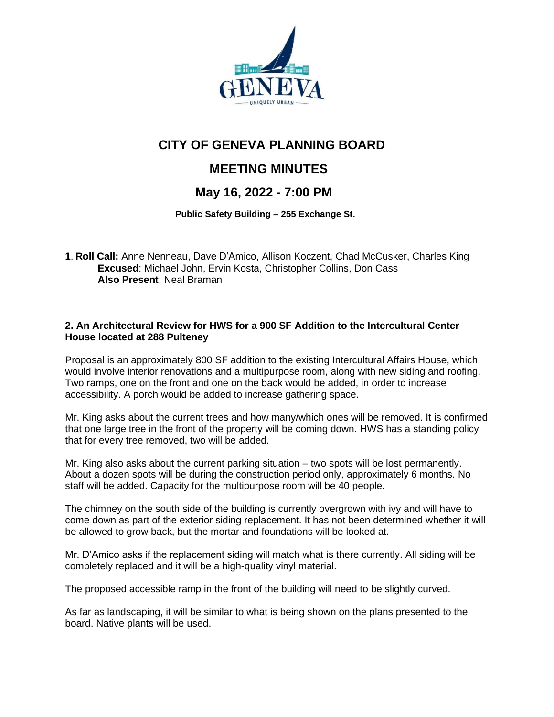

# **CITY OF GENEVA PLANNING BOARD**

## **MEETING MINUTES**

### **May 16, 2022 - 7:00 PM**

 **Public Safety Building – 255 Exchange St.**

**1**. **Roll Call:** Anne Nenneau, Dave D'Amico, Allison Koczent, Chad McCusker, Charles King **Excused**: Michael John, Ervin Kosta, Christopher Collins, Don Cass **Also Present**: Neal Braman

#### **2. An Architectural Review for HWS for a 900 SF Addition to the Intercultural Center House located at 288 Pulteney**

Proposal is an approximately 800 SF addition to the existing Intercultural Affairs House, which would involve interior renovations and a multipurpose room, along with new siding and roofing. Two ramps, one on the front and one on the back would be added, in order to increase accessibility. A porch would be added to increase gathering space.

Mr. King asks about the current trees and how many/which ones will be removed. It is confirmed that one large tree in the front of the property will be coming down. HWS has a standing policy that for every tree removed, two will be added.

Mr. King also asks about the current parking situation – two spots will be lost permanently. About a dozen spots will be during the construction period only, approximately 6 months. No staff will be added. Capacity for the multipurpose room will be 40 people.

The chimney on the south side of the building is currently overgrown with ivy and will have to come down as part of the exterior siding replacement. It has not been determined whether it will be allowed to grow back, but the mortar and foundations will be looked at.

Mr. D'Amico asks if the replacement siding will match what is there currently. All siding will be completely replaced and it will be a high-quality vinyl material.

The proposed accessible ramp in the front of the building will need to be slightly curved.

As far as landscaping, it will be similar to what is being shown on the plans presented to the board. Native plants will be used.